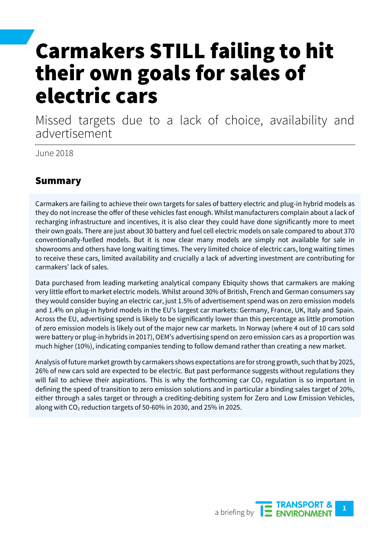## Carmakers STILL failing to hit their own goals for sales of electric cars

Missed targets due to a lack of choice, availability and advertisement

June 2018

### Summary

Carmakers are failing to achieve their own targets for sales of battery electric and plug-in hybrid models as they do not increase the offer of these vehicles fast enough. Whilst manufacturers complain about a lack of recharging infrastructure and incentives, it is also clear they could have done significantly more to meet their own goals. There are just about 30 battery and fuel cell electric models on sale compared to about 370 conventionally-fuelled models. But it is now clear many models are simply not available for sale in showrooms and others have long waiting times. The very limited choice of electric cars, long waiting times to receive these cars, limited availability and crucially a lack of adverting investment are contributing for carmakers' lack of sales.

Data purchased from leading marketing analytical company Ebiquity shows that carmakers are making very little effort to market electric models. Whilst around 30% of British, French and German consumers say they would consider buying an electric car, just 1.5% of advertisement spend was on zero emission models and 1.4% on plug-in hybrid models in the EU's largest car markets: Germany, France, UK, Italy and Spain. Across the EU, advertising spend is likely to be significantly lower than this percentage as little promotion of zero emission models is likely out of the major new car markets. In Norway (where 4 out of 10 cars sold were battery or plug-in hybrids in 2017), OEM's advertising spend on zero emission cars as a proportion was much higher (10%), indicating companies tending to follow demand rather than creating a new market.

Analysis of future market growth by carmakers shows expectations are for strong growth, such that by 2025, 26% of new cars sold are expected to be electric. But past performance suggests without regulations they will fail to achieve their aspirations. This is why the forthcoming car  $CO<sub>2</sub>$  regulation is so important in defining the speed of transition to zero emission solutions and in particular a binding sales target of 20%, either through a sales target or through a crediting-debiting system for Zero and Low Emission Vehicles, along with  $CO<sub>2</sub>$  reduction targets of 50-60% in 2030, and 25% in 2025.

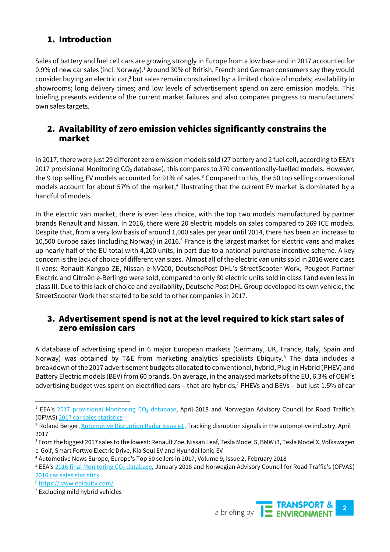### 1. Introduction

Sales of battery and fuel cell cars are growing strongly in Europe from a low base and in 2017 accounted for 0.9% of new car sales (incl. Norway).<sup>1</sup> Around 30% of British, French and German consumers say they would consider buying an electric car,<sup>2</sup> but sales remain constrained by: a limited choice of models; availability in showrooms; long delivery times; and low levels of advertisement spend on zero emission models. This briefing presents evidence of the current market failures and also compares progress to manufacturers' own sales targets.

#### 2. Availability of zero emission vehicles significantly constrains the market

In 2017, there were just 29 different zero emission models sold (27 battery and 2 fuel cell, according to EEA's 2017 provisional Monitoring CO<sub>2</sub> database), this compares to 370 conventionally-fuelled models. However, the 9 top selling EV models accounted for 91% of sales.<sup>3</sup> Compared to this, the 50 top selling conventional models account for about 57% of the market,<sup>4</sup> illustrating that the current EV market is dominated by a handful of models.

In the electric van market, there is even less choice, with the top two models manufactured by partner brands Renault and Nissan. In 2016, there were 20 electric models on sales compared to 269 ICE models. Despite that, from a very low basis of around 1,000 sales per year until 2014, there has been an increase to 10,500 Europe sales (including Norway) in 2016.<sup>5</sup> France is the largest market for electric vans and makes up nearly half of the EU total with 4,200 units, in part due to a national purchase incentive scheme. A key concern is the lack of choice of different van sizes. Almost all of the electric van units sold in 2016 were class II vans: Renault Kangoo ZE, Nissan e-NV200, DeutschePost DHL's StreetScooter Work, Peugeot Partner Electric and Citroën e-Berlingo were sold, compared to only 80 electric units sold in class I and even less in class III. Due to this lack of choice and availability, Deutsche Post DHL Group developed its own vehicle, the StreetScooter Work that started to be sold to other companies in 2017.

#### 3. Advertisement spend is not at the level required to kick start sales of zero emission cars

A database of advertising spend in 6 major European markets (Germany, UK, France, Italy, Spain and Norway) was obtained by T&E from marketing analytics specialists Ebiquity.<sup>6</sup> The data includes a breakdown of the 2017 advertisement budgets allocated to conventional, hybrid, Plug-in Hybrid (PHEV) and Battery Electric models (BEV) from 60 brands. On average, in the analysed markets of the EU, 6.3% of OEM's advertising budget was spent on electrified cars – that are hybrids,<sup>7</sup> PHEVs and BEVs – but just 1.5% of car



<sup>&</sup>lt;sup>1</sup> EEA's 2017 provisional Monitoring  $CO<sub>2</sub>$  database, April 2018 and Norwegian Advisory Council for Road Traffic's (OFVA[S\) 2017 car sales statistics](http://www.ofvas.no/bilsalget-i-2017/category751.html)

<sup>&</sup>lt;sup>2</sup> Roland Berger, [Automotive Disruption Radar Issue #1,](https://www.rolandberger.com/publications/publication_pdf/roland_berger_disruption_radar.pdf) Tracking disruption signals in the automotive industry, April 2017

<sup>&</sup>lt;sup>3</sup> From the biggest 2017 sales to the lowest: Renault Zoe, Nissan Leaf, Tesla Model S, BMW i3, Tesla Model X, Volkswagen e-Golf, Smart Fortwo Electric Drive, Kia Soul EV and Hyundai Ioniq EV

<sup>4</sup> Automotive News Europe, Europe's Top 50 sellers in 2017, Volume 9, Issue 2, February 2018

<sup>&</sup>lt;sup>5</sup> EEA's [2016 final Monitoring CO](https://www.eea.europa.eu/data-and-maps/data/vans-10)<sub>2</sub> database, January 2018 and Norwegian Advisory Council for Road Traffic's (OFVAS) [2016 car sales statistics](http://www.ofvas.no/bilsalget-i-2016/category706.html)

<sup>6</sup> [https://www.ebiquity.com/](https://www.ebiquity.com/?gclid=EAIaIQobChMIlYifw_371QIVw7XtCh0I8QypEAAYASAAEgLl0_D_BwE&gclid=EAIaIQobChMIlYifw_371QIVw7XtCh0I8QypEAAYASAAEgLl0_D_BwE)

<sup>7</sup> Excluding mild hybrid vehicles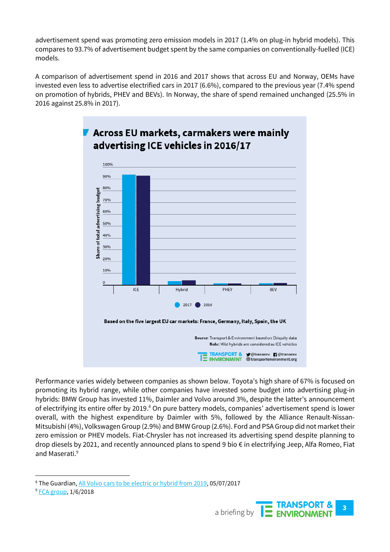advertisement spend was promoting zero emission models in 2017 (1.4% on plug-in hybrid models). This compares to 93.7% of advertisement budget spent by the same companies on conventionally-fuelled (ICE) models.

A comparison of advertisement spend in 2016 and 2017 shows that across EU and Norway, OEMs have invested even less to advertise electrified cars in 2017 (6.6%), compared to the previous year (7.4% spend on promotion of hybrids, PHEV and BEVs). In Norway, the share of spend remained unchanged (25.5% in 2016 against 25.8% in 2017).



Performance varies widely between companies as shown below. Toyota's high share of 67% is focused on promoting its hybrid range, while other companies have invested some budget into advertising plug-in hybrids: BMW Group has invested 11%, Daimler and Volvo around 3%, despite the latter's announcement of electrifying its entire offer by 2019.<sup>8</sup> On pure battery models, companies' advertisement spend is lower overall, with the highest expenditure by Daimler with 5%, followed by the Alliance Renault-Nissan-Mitsubishi (4%), Volkswagen Group (2.9%) and BMW Group (2.6%). Ford and PSA Group did not market their zero emission or PHEV models. Fiat-Chrysler has not increased its advertising spend despite planning to drop diesels by 2021, and recently announced plans to spend 9 bio € in electrifying Jeep, Alfa Romeo, Fiat and Maserati. 9



<sup>&</sup>lt;sup>8</sup> The Guardian, [All Volvo cars to be electric or hybrid from 2019,](https://www.theguardian.com/business/2017/jul/05/volvo-cars-electric-hybrid-2019) 05/07/2017

<sup>&</sup>lt;sup>9</sup> [FCA group,](http://www.fcagroup.com/capitalmarketsday/Presentations/FCA%20June%201%202018%20CMD_Compliance_SM.pdf) 1/6/2018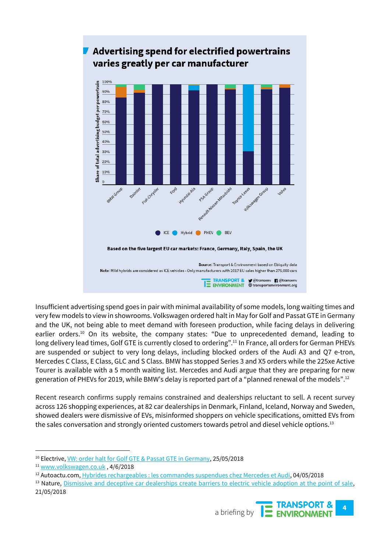

# Advertising spend for electrified powertrains

Insufficient advertising spend goes in pair with minimal availability of some models, long waiting times and very few models to view in showrooms. Volkswagen ordered halt in May for Golf and Passat GTE in Germany and the UK, not being able to meet demand with foreseen production, while facing delays in delivering earlier orders.<sup>10</sup> On its website, the company states: "Due to unprecedented demand, leading to long delivery lead times, Golf GTE is currently closed to ordering".<sup>11</sup> In France, all orders for German PHEVs are suspended or subject to very long delays, including blocked orders of the Audi A3 and Q7 e-tron, Mercedes C Class, E Class, GLC and S Class. BMW has stopped Series 3 and X5 orders while the 225xe Active Tourer is available with a 5 month waiting list. Mercedes and Audi argue that they are preparing for new generation of PHEVs for 2019, while BMW's delay is reported part of a "planned renewal of the models".<sup>12</sup>

Recent research confirms supply remains constrained and dealerships reluctant to sell. A recent survey across 126 shopping experiences, at 82 car dealerships in Denmark, Finland, Iceland, Norway and Sweden, showed dealers were dismissive of EVs, misinformed shoppers on vehicle specifications, omitted EVs from the sales conversation and strongly oriented customers towards petrol and diesel vehicle options.<sup>13</sup>

<sup>&</sup>lt;sup>13</sup> Nature, [Dismissive and deceptive car dealerships create barriers to electric vehicle adoption at the point of sale,](https://www.nature.com/articles/s41560-018-0152-x) 21/05/2018



<sup>&</sup>lt;sup>10</sup> Electrive, <u>VW: order halt for Golf GTE & Passat GTE in Germany</u>, 25/05/2018

<sup>11</sup> [www.volkswagen.co.uk](http://www.volkswagen.co.uk/) , 4/6/2018

<sup>12</sup> Autoactu.com[, Hybrides rechargeables : les commandes suspendues chez Mercedes et Audi,](http://www.autoactu.com/hybrides-rechargeables---les-commandes-suspendues-chez-mercedes-et-audi.shtml) 04/05/2018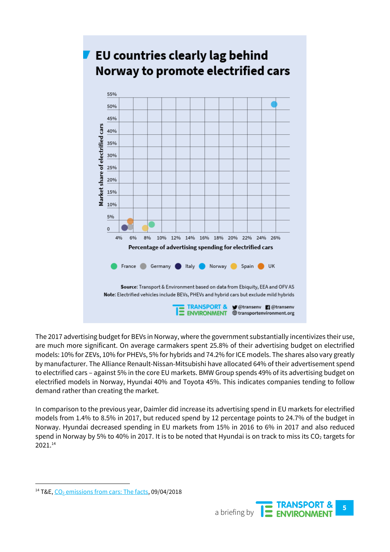

The 2017 advertising budget for BEVs in Norway, where the government substantially incentivizes their use, are much more significant. On average carmakers spent 25.8% of their advertising budget on electrified models: 10% for ZEVs, 10% for PHEVs, 5% for hybrids and 74.2% for ICE models. The shares also vary greatly by manufacturer. The Alliance Renault-Nissan-Mitsubishi have allocated 64% of their advertisement spend to electrified cars – against 5% in the core EU markets. BMW Group spends 49% of its advertising budget on electrified models in Norway, Hyundai 40% and Toyota 45%. This indicates companies tending to follow demand rather than creating the market.

In comparison to the previous year, Daimler did increase its advertising spend in EU markets for electrified models from 1.4% to 8.5% in 2017, but reduced spend by 12 percentage points to 24.7% of the budget in Norway. Hyundai decreased spending in EU markets from 15% in 2016 to 6% in 2017 and also reduced spend in Norway by 5% to 40% in 2017. It is to be noted that Hyundai is on track to miss its  $CO<sub>2</sub>$  targets for 2021.<sup>14</sup>



<sup>&</sup>lt;sup>14</sup> T&E,  $CO<sub>2</sub>$  [emissions from cars: The facts,](https://www.transportenvironment.org/publications/co2-emissions-cars-facts) 09/04/2018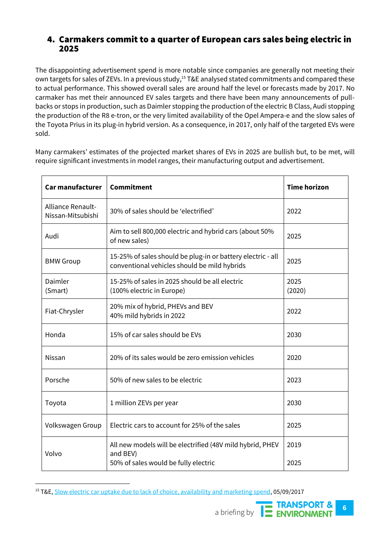#### 4. Carmakers commit to a quarter of European cars sales being electric in 2025

The disappointing advertisement spend is more notable since companies are generally not meeting their own targets for sales of ZEVs. In a previous study, <sup>15</sup> T&E analysed stated commitments and compared these to actual performance. This showed overall sales are around half the level or forecasts made by 2017. No carmaker has met their announced EV sales targets and there have been many announcements of pullbacks or stops in production, such as Daimler stopping the production of the electric B Class, Audi stopping the production of the R8 e-tron, or the very limited availability of the Opel Ampera-e and the slow sales of the Toyota Prius in its plug-in hybrid version. As a consequence, in 2017, only half of the targeted EVs were sold.

Many carmakers' estimates of the projected market shares of EVs in 2025 are bullish but, to be met, will require significant investments in model ranges, their manufacturing output and advertisement.

| Car manufacturer                       | <b>Commitment</b>                                                                                           | <b>Time horizon</b> |
|----------------------------------------|-------------------------------------------------------------------------------------------------------------|---------------------|
| Alliance Renault-<br>Nissan-Mitsubishi | 30% of sales should be 'electrified'                                                                        | 2022                |
| Audi                                   | Aim to sell 800,000 electric and hybrid cars (about 50%<br>of new sales)                                    | 2025                |
| <b>BMW Group</b>                       | 15-25% of sales should be plug-in or battery electric - all<br>conventional vehicles should be mild hybrids | 2025                |
| Daimler<br>(Smart)                     | 15-25% of sales in 2025 should be all electric<br>(100% electric in Europe)                                 | 2025<br>(2020)      |
| Fiat-Chrysler                          | 20% mix of hybrid, PHEVs and BEV<br>40% mild hybrids in 2022                                                | 2022                |
| Honda                                  | 15% of car sales should be EVs                                                                              | 2030                |
| Nissan                                 | 20% of its sales would be zero emission vehicles                                                            | 2020                |
| Porsche                                | 50% of new sales to be electric                                                                             | 2023                |
| Toyota                                 | 1 million ZEVs per year                                                                                     | 2030                |
| Volkswagen Group                       | Electric cars to account for 25% of the sales                                                               | 2025                |
| Volvo                                  | All new models will be electrified (48V mild hybrid, PHEV<br>and BEV)                                       | 2019                |
|                                        | 50% of sales would be fully electric                                                                        | 2025                |

<sup>&</sup>lt;sup>15</sup> T&E[, Slow electric car uptake due to lack of choice, availability and marketing spend,](https://www.transportenvironment.org/press/slow-electric-car-uptake-due-lack-choice-availability-and-marketing-spend-%E2%80%93-report) 05/09/2017

**6** a briefing by **TE TRANSPORT &**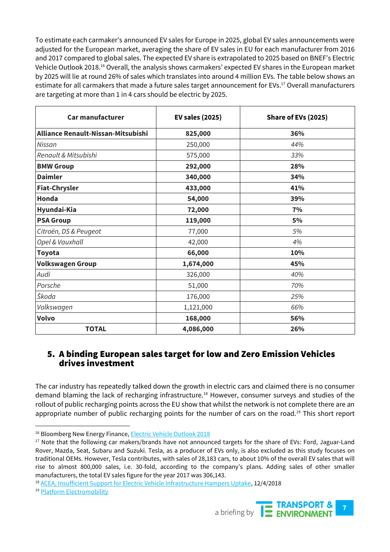To estimate each carmaker's announced EV sales for Europe in 2025, global EV sales announcements were adjusted for the European market, averaging the share of EV sales in EU for each manufacturer from 2016 and 2017 compared to global sales. The expected EV share is extrapolated to 2025 based on BNEF's Electric Vehicle Outlook 2018.<sup>16</sup> Overall, the analysis shows carmakers' expected EV shares in the European market by 2025 will lie at round 26% of sales which translates into around 4 million EVs. The table below shows an estimate for all carmakers that made a future sales target announcement for EVs. <sup>17</sup> Overall manufacturers are targeting at more than 1 in 4 cars should be electric by 2025.

| <b>Car manufacturer</b>            | <b>EV sales (2025)</b> | Share of EVs (2025) |  |
|------------------------------------|------------------------|---------------------|--|
| Alliance Renault-Nissan-Mitsubishi | 825,000                | 36%                 |  |
| Nissan                             | 250,000                | 44%                 |  |
| Renault & Mitsubishi               | 575,000                | 33%                 |  |
| <b>BMW Group</b>                   | 292,000                | 28%                 |  |
| <b>Daimler</b>                     | 340,000                | 34%                 |  |
| <b>Fiat-Chrysler</b>               | 433,000                | 41%                 |  |
| Honda                              | 54,000                 | 39%                 |  |
| Hyundai-Kia                        | 72,000                 | 7%                  |  |
| <b>PSA Group</b>                   | 119,000                | 5%                  |  |
| Citroën, DS & Peugeot              | 77,000                 | 5%                  |  |
| Opel & Vauxhall                    | 42,000                 | 4%                  |  |
| <b>Toyota</b>                      | 66,000                 | 10%                 |  |
| <b>Volkswagen Group</b>            | 1,674,000              | 45%                 |  |
| Audi                               | 326,000                | 40%                 |  |
| Porsche                            | 51,000                 | 70%                 |  |
| Škoda                              | 176,000                | 25%                 |  |
| Volkswagen                         | 1,121,000              | 66%                 |  |
| Volvo                              | 168,000                | 56%                 |  |
| <b>TOTAL</b>                       | 4,086,000              | 26%                 |  |

#### 5. A binding European sales target for low and Zero Emission Vehicles drives investment

The car industry has repeatedly talked down the growth in electric cars and claimed there is no consumer demand blaming the lack of recharging infrastructure.<sup>18</sup> However, consumer surveys and studies of the rollout of public recharging points across the EU show that whilst the network is not complete there are an appropriate number of public recharging points for the number of cars on the road.<sup>19</sup> This short report

<sup>19</sup> [Platform Electromobility](http://www.platformelectromobility.eu/wp-content/uploads/2018/02/Emobility-Platform-AFID-analysis.pdf)

 $\overline{a}$ 



<sup>&</sup>lt;sup>16</sup> Bloomberg New Energy Finance, **Electric Vehicle Outlook 2018** 

<sup>&</sup>lt;sup>17</sup> Note that the following car makers/brands have not announced targets for the share of EVs: Ford, Jaguar-Land Rover, Mazda, Seat, Subaru and Suzuki. Tesla, as a producer of EVs only, is also excluded as this study focuses on traditional OEMs. However, Tesla contributes, with sales of 28,183 cars, to about 10% of the overall EV sales that will rise to almost 800,000 sales, i.e. 30-fold, according to the company's plans. Adding sales of other smaller manufacturers, the total EV sales figure for the year 2017 was 306,143.

<sup>&</sup>lt;sup>18</sup> [ACEA, Insufficient Support for Electric Vehicle Infrastructure Hampers Uptake,](http://www.acea.be/press-releases/article/insufficient-support-for-electric-vehicle-charging-infrastructure-hampers-u) 12/4/2018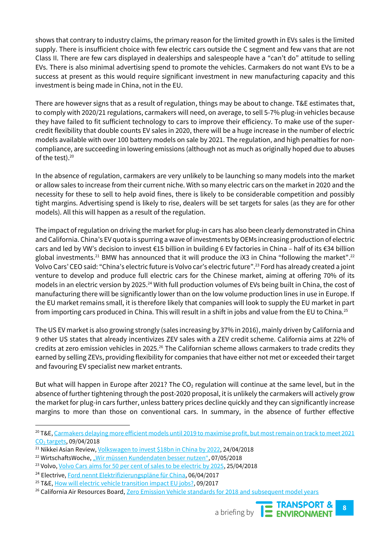shows that contrary to industry claims, the primary reason for the limited growth in EVs sales is the limited supply. There is insufficient choice with few electric cars outside the C segment and few vans that are not Class II. There are few cars displayed in dealerships and salespeople have a "can't do" attitude to selling EVs. There is also minimal advertising spend to promote the vehicles. Carmakers do not want EVs to be a success at present as this would require significant investment in new manufacturing capacity and this investment is being made in China, not in the EU.

There are however signs that as a result of regulation, things may be about to change. T&E estimates that, to comply with 2020/21 regulations, carmakers will need, on average, to sell 5-7% plug-in vehicles because they have failed to fit sufficient technology to cars to improve their efficiency. To make use of the supercredit flexibility that double counts EV sales in 2020, there will be a huge increase in the number of electric models available with over 100 battery models on sale by 2021. The regulation, and high penalties for noncompliance, are succeeding in lowering emissions (although not as much as originally hoped due to abuses of the test). 20

In the absence of regulation, carmakers are very unlikely to be launching so many models into the market or allow sales to increase from their current niche. With so many electric cars on the market in 2020 and the necessity for these to sell to help avoid fines, there is likely to be considerable competition and possibly tight margins. Advertising spend is likely to rise, dealers will be set targets for sales (as they are for other models). All this will happen as a result of the regulation.

The impact of regulation on driving the market for plug-in cars has also been clearly demonstrated in China and California. China's EV quota is spurring a wave of investments by OEMs increasing production of electric cars and led by VW's decision to invest €15 billion in building 6 EV factories in China – half of its €34 billion global investments.<sup>21</sup> BMW has announced that it will produce the iX3 in China "following the market".<sup>22</sup> Volvo Cars' CEO said: "China's electric future is Volvo car's electric future".<sup>23</sup> Ford has already created a joint venture to develop and produce full electric cars for the Chinese market, aiming at offering 70% of its models in an electric version by 2025.<sup>24</sup> With full production volumes of EVs being built in China, the cost of manufacturing there will be significantly lower than on the low volume production lines in use in Europe. If the EU market remains small, it is therefore likely that companies will look to supply the EU market in part from importing cars produced in China. This will result in a shift in jobs and value from the EU to China.<sup>25</sup>

The US EV market is also growing strongly (sales increasing by 37% in 2016), mainly driven by California and 9 other US states that already incentivizes ZEV sales with a ZEV credit scheme. California aims at 22% of credits at zero emission vehicles in 2025.<sup>26</sup> The Californian scheme allows carmakers to trade credits they earned by selling ZEVs, providing flexibility for companies that have either not met or exceeded their target and favouring EV specialist new market entrants.

But what will happen in Europe after 2021? The CO<sub>2</sub> regulation will continue at the same level, but in the absence of further tightening through the post-2020 proposal, it is unlikely the carmakers will actively grow the market for plug-in cars further, unless battery prices decline quickly and they can significantly increase margins to more than those on conventional cars. In summary, in the absence of further effective

 $\overline{a}$ 

<sup>&</sup>lt;sup>26</sup> California Air Resources Board, [Zero Emission Vehicle standards for 2018 and subsequent model years](https://www.arb.ca.gov/msprog/zevprog/zevregs/1962.2_Clean.pdf)



<sup>&</sup>lt;sup>20</sup> T&E, Carmakers delaying more efficient models until 2019 to maximise profit, but most remain on track to meet 2021 CO<sub>2</sub> [targets,](https://www.transportenvironment.org/press/carmakers-delaying-more-efficient-models-until-2019-maximise-profit-most-remain-track-meet) 09/04/2018

<sup>&</sup>lt;sup>21</sup> Nikkei Asian Review[, Volkswagen to invest \\$18bn in China by](https://asia.nikkei.com/Spotlight/Electric-cars-in-China/Volkswagen-to-invest-18bn-in-China-by-2022) 2022, 24/04/2018

<sup>&</sup>lt;sup>22</sup> WirtschaftsWoche, ["Wir müssen Kundendaten besser nutzen"](https://www.wiwo.de/unternehmen/auto/bmw-vertriebsvorstand-pieter-nota-china-wird-ein-durchbruchsmarkt-fuer-e-mobilitaet/21244804-2.html), 07/05/2018

<sup>&</sup>lt;sup>23</sup> Volvo[, Volvo Cars aims for 50 per cent of sales to be electric by 2025,](https://www.media.volvocars.com/global/en-gb/media/pressreleases/227602/volvo-cars-aims-for-50-per-cent-of-sales-to-be-electric-by-2025) 25/04/2018

<sup>&</sup>lt;sup>24</sup> Electrive[, Ford nennt Elektrifizierungspläne für China,](https://www.electrive.net/2017/04/06/ford-nennt-elektrifizierungsplaene-fuer-china/) 06/04/2017

<sup>&</sup>lt;sup>25</sup> T&E[, How will electric vehicle transition impact EU jobs?,](https://www.transportenvironment.org/sites/te/files/publications/Briefing%20-%20How%20will%20electric%20vehicle%20transition%20impact%20EU%20jobs.pdf) 09/2017